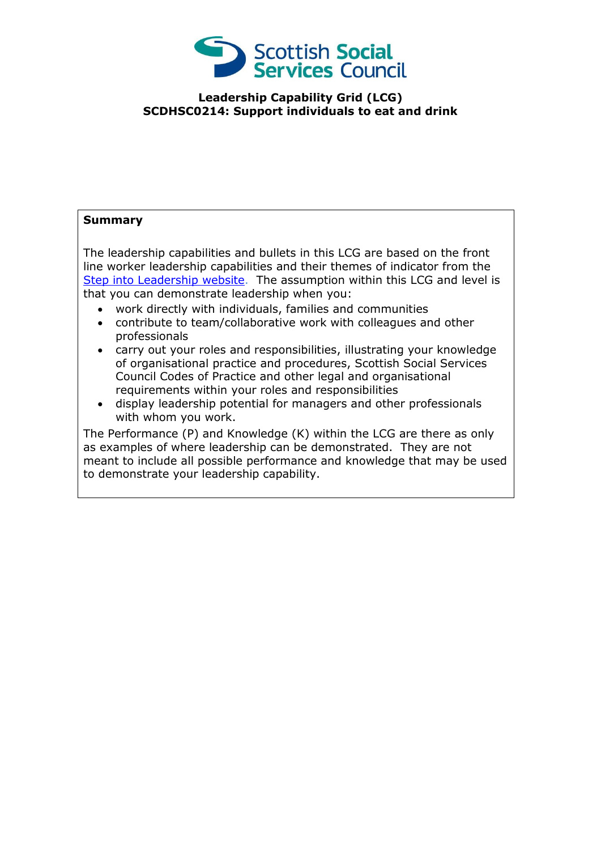

## **Leadership Capability Grid (LCG) SCDHSC0214: Support individuals to eat and drink**

## **Summary**

The leadership capabilities and bullets in this LCG are based on the front line worker leadership capabilities and their themes of indicator from the [Step into Leadership website.](http://www.stepintoleadership.info/) The assumption within this LCG and level is that you can demonstrate leadership when you:

- work directly with individuals, families and communities
- contribute to team/collaborative work with colleagues and other professionals
- carry out your roles and responsibilities, illustrating your knowledge of organisational practice and procedures, Scottish Social Services Council Codes of Practice and other legal and organisational requirements within your roles and responsibilities
- display leadership potential for managers and other professionals with whom you work.

The Performance (P) and Knowledge (K) within the LCG are there as only as examples of where leadership can be demonstrated. They are not meant to include all possible performance and knowledge that may be used to demonstrate your leadership capability.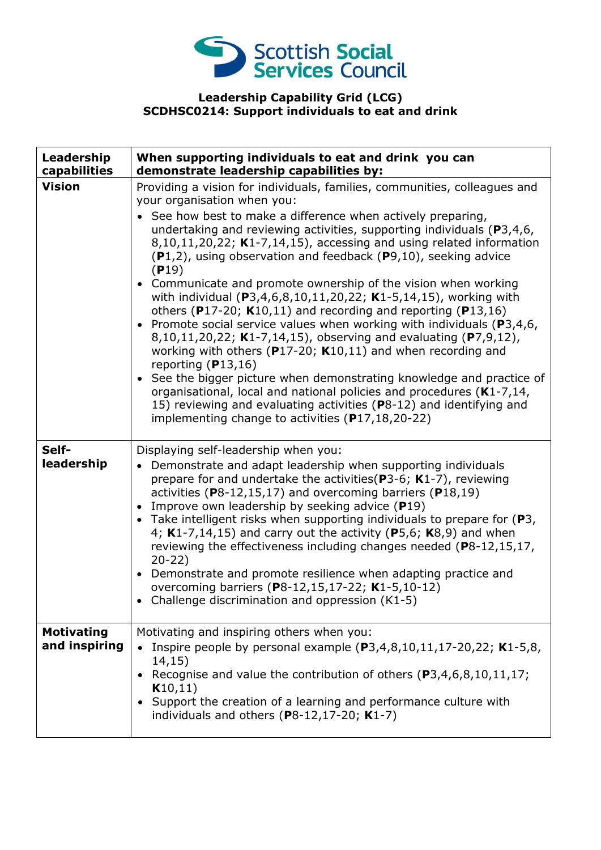

## **Leadership Capability Grid (LCG) SCDHSC0214: Support individuals to eat and drink**

| Leadership<br>capabilities         | When supporting individuals to eat and drink you can<br>demonstrate leadership capabilities by:                                                                                                                                                                                                                                                                                                                                                                                                                                                                                                                                                                                                                                                                                                                                                                                                                                                                                                                                                                                                                                                         |
|------------------------------------|---------------------------------------------------------------------------------------------------------------------------------------------------------------------------------------------------------------------------------------------------------------------------------------------------------------------------------------------------------------------------------------------------------------------------------------------------------------------------------------------------------------------------------------------------------------------------------------------------------------------------------------------------------------------------------------------------------------------------------------------------------------------------------------------------------------------------------------------------------------------------------------------------------------------------------------------------------------------------------------------------------------------------------------------------------------------------------------------------------------------------------------------------------|
| <b>Vision</b>                      | Providing a vision for individuals, families, communities, colleagues and<br>your organisation when you:<br>• See how best to make a difference when actively preparing,<br>undertaking and reviewing activities, supporting individuals ( $P$ 3,4,6,<br>$8,10,11,20,22$ ; K1-7,14,15), accessing and using related information<br>$(P1,2)$ , using observation and feedback $(P9,10)$ , seeking advice<br>(P19)<br>• Communicate and promote ownership of the vision when working<br>with individual (P3,4,6,8,10,11,20,22; K1-5,14,15), working with<br>others (P17-20; $K10,11$ ) and recording and reporting (P13,16)<br>• Promote social service values when working with individuals ( $P3,4,6$ ,<br>8,10,11,20,22; K1-7,14,15), observing and evaluating (P7,9,12),<br>working with others ( $P17-20$ ; K10,11) and when recording and<br>reporting $(P13,16)$<br>• See the bigger picture when demonstrating knowledge and practice of<br>organisational, local and national policies and procedures (K1-7,14,<br>15) reviewing and evaluating activities (P8-12) and identifying and<br>implementing change to activities $(P17, 18, 20 - 22)$ |
| Self-<br>leadership                | Displaying self-leadership when you:<br>• Demonstrate and adapt leadership when supporting individuals<br>prepare for and undertake the activities ( $P3-6$ ; K1-7), reviewing<br>activities ( $P8-12,15,17$ ) and overcoming barriers ( $P18,19$ )<br>• Improve own leadership by seeking advice $(P19)$<br>• Take intelligent risks when supporting individuals to prepare for $(P3,$<br>4; $K1-7,14,15$ ) and carry out the activity (P5,6; $K8,9$ ) and when<br>reviewing the effectiveness including changes needed (P8-12,15,17,<br>$20-22)$<br>• Demonstrate and promote resilience when adapting practice and<br>overcoming barriers (P8-12,15,17-22; K1-5,10-12)<br>• Challenge discrimination and oppression (K1-5)                                                                                                                                                                                                                                                                                                                                                                                                                           |
| <b>Motivating</b><br>and inspiring | Motivating and inspiring others when you:<br>Inspire people by personal example (P3,4,8,10,11,17-20,22; K1-5,8,<br>14,15)<br>• Recognise and value the contribution of others $(P3, 4, 6, 8, 10, 11, 17)$ ;<br>K10,11)<br>Support the creation of a learning and performance culture with<br>individuals and others ( $P8-12,17-20$ ; K1-7)                                                                                                                                                                                                                                                                                                                                                                                                                                                                                                                                                                                                                                                                                                                                                                                                             |